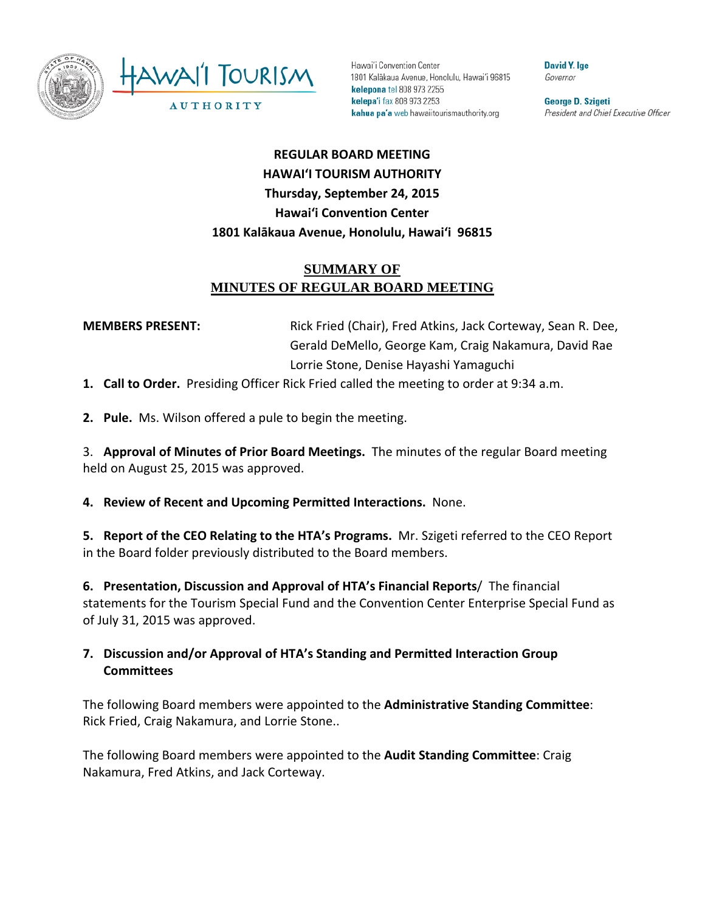

Hawai'i Convention Center 1801 Kalākaua Avenue, Honolulu, Hawai'i 96815 kelepona tel 808 973 2255 kelepa'i fax 808 973 2253 kahua pa'a web hawaiitourismauthority.org

**David Y. Ige** Governor

George D. Szigeti President and Chief Executive Officer

# **REGULAR BOARD MEETING HAWAI'I TOURISM AUTHORITY Thursday, September 24, 2015 Hawai'i Convention Center 1801 Kalākaua Avenue, Honolulu, Hawai'i 96815**

# **SUMMARY OF MINUTES OF REGULAR BOARD MEETING**

**MEMBERS PRESENT:** Rick Fried (Chair), Fred Atkins, Jack Corteway, Sean R. Dee, Gerald DeMello, George Kam, Craig Nakamura, David Rae Lorrie Stone, Denise Hayashi Yamaguchi

**1. Call to Order.** Presiding Officer Rick Fried called the meeting to order at 9:34 a.m.

**2. Pule.** Ms. Wilson offered a pule to begin the meeting.

3. **Approval of Minutes of Prior Board Meetings.** The minutes of the regular Board meeting held on August 25, 2015 was approved.

**4. Review of Recent and Upcoming Permitted Interactions.** None.

**5. Report of the CEO Relating to the HTA's Programs.** Mr. Szigeti referred to the CEO Report in the Board folder previously distributed to the Board members.

**6. Presentation, Discussion and Approval of HTA's Financial Reports**/ The financial statements for the Tourism Special Fund and the Convention Center Enterprise Special Fund as of July 31, 2015 was approved.

#### **7. Discussion and/or Approval of HTA's Standing and Permitted Interaction Group Committees**

The following Board members were appointed to the **Administrative Standing Committee**: Rick Fried, Craig Nakamura, and Lorrie Stone..

The following Board members were appointed to the **Audit Standing Committee**: Craig Nakamura, Fred Atkins, and Jack Corteway.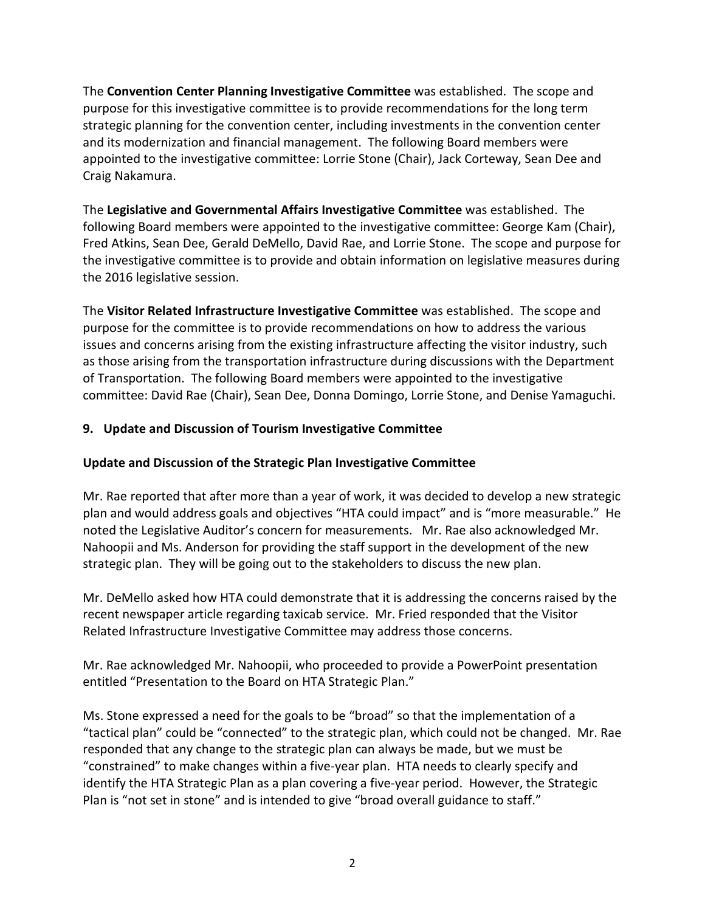The **Convention Center Planning Investigative Committee** was established. The scope and purpose for this investigative committee is to provide recommendations for the long term strategic planning for the convention center, including investments in the convention center and its modernization and financial management. The following Board members were appointed to the investigative committee: Lorrie Stone (Chair), Jack Corteway, Sean Dee and Craig Nakamura.

The **Legislative and Governmental Affairs Investigative Committee** was established. The following Board members were appointed to the investigative committee: George Kam (Chair), Fred Atkins, Sean Dee, Gerald DeMello, David Rae, and Lorrie Stone. The scope and purpose for the investigative committee is to provide and obtain information on legislative measures during the 2016 legislative session.

The **Visitor Related Infrastructure Investigative Committee** was established. The scope and purpose for the committee is to provide recommendations on how to address the various issues and concerns arising from the existing infrastructure affecting the visitor industry, such as those arising from the transportation infrastructure during discussions with the Department of Transportation. The following Board members were appointed to the investigative committee: David Rae (Chair), Sean Dee, Donna Domingo, Lorrie Stone, and Denise Yamaguchi.

#### **9. Update and Discussion of Tourism Investigative Committee**

#### **Update and Discussion of the Strategic Plan Investigative Committee**

Mr. Rae reported that after more than a year of work, it was decided to develop a new strategic plan and would address goals and objectives "HTA could impact" and is "more measurable." He noted the Legislative Auditor's concern for measurements. Mr. Rae also acknowledged Mr. Nahoopii and Ms. Anderson for providing the staff support in the development of the new strategic plan. They will be going out to the stakeholders to discuss the new plan.

Mr. DeMello asked how HTA could demonstrate that it is addressing the concerns raised by the recent newspaper article regarding taxicab service. Mr. Fried responded that the Visitor Related Infrastructure Investigative Committee may address those concerns.

Mr. Rae acknowledged Mr. Nahoopii, who proceeded to provide a PowerPoint presentation entitled "Presentation to the Board on HTA Strategic Plan."

Ms. Stone expressed a need for the goals to be "broad" so that the implementation of a "tactical plan" could be "connected" to the strategic plan, which could not be changed. Mr. Rae responded that any change to the strategic plan can always be made, but we must be "constrained" to make changes within a five-year plan. HTA needs to clearly specify and identify the HTA Strategic Plan as a plan covering a five-year period. However, the Strategic Plan is "not set in stone" and is intended to give "broad overall guidance to staff."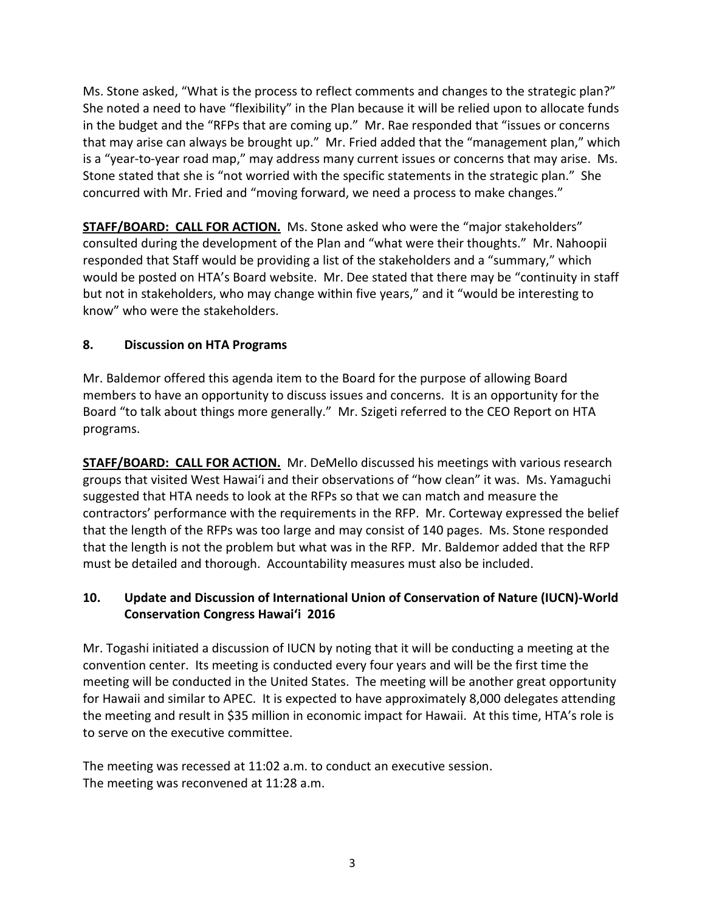Ms. Stone asked, "What is the process to reflect comments and changes to the strategic plan?" She noted a need to have "flexibility" in the Plan because it will be relied upon to allocate funds in the budget and the "RFPs that are coming up." Mr. Rae responded that "issues or concerns that may arise can always be brought up." Mr. Fried added that the "management plan," which is a "year-to-year road map," may address many current issues or concerns that may arise. Ms. Stone stated that she is "not worried with the specific statements in the strategic plan." She concurred with Mr. Fried and "moving forward, we need a process to make changes."

**STAFF/BOARD: CALL FOR ACTION.** Ms. Stone asked who were the "major stakeholders" consulted during the development of the Plan and "what were their thoughts." Mr. Nahoopii responded that Staff would be providing a list of the stakeholders and a "summary," which would be posted on HTA's Board website. Mr. Dee stated that there may be "continuity in staff but not in stakeholders, who may change within five years," and it "would be interesting to know" who were the stakeholders.

# **8. Discussion on HTA Programs**

Mr. Baldemor offered this agenda item to the Board for the purpose of allowing Board members to have an opportunity to discuss issues and concerns. It is an opportunity for the Board "to talk about things more generally." Mr. Szigeti referred to the CEO Report on HTA programs.

**STAFF/BOARD: CALL FOR ACTION.** Mr. DeMello discussed his meetings with various research groups that visited West Hawai'i and their observations of "how clean" it was. Ms. Yamaguchi suggested that HTA needs to look at the RFPs so that we can match and measure the contractors' performance with the requirements in the RFP. Mr. Corteway expressed the belief that the length of the RFPs was too large and may consist of 140 pages. Ms. Stone responded that the length is not the problem but what was in the RFP. Mr. Baldemor added that the RFP must be detailed and thorough. Accountability measures must also be included.

# **10. Update and Discussion of International Union of Conservation of Nature (IUCN)-World Conservation Congress Hawai'i 2016**

Mr. Togashi initiated a discussion of IUCN by noting that it will be conducting a meeting at the convention center. Its meeting is conducted every four years and will be the first time the meeting will be conducted in the United States. The meeting will be another great opportunity for Hawaii and similar to APEC. It is expected to have approximately 8,000 delegates attending the meeting and result in \$35 million in economic impact for Hawaii. At this time, HTA's role is to serve on the executive committee.

The meeting was recessed at 11:02 a.m. to conduct an executive session. The meeting was reconvened at 11:28 a.m.